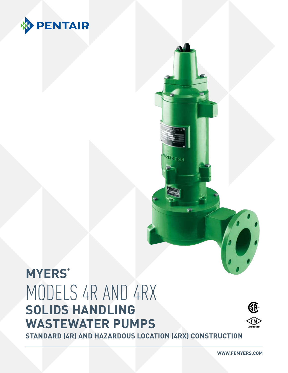

# **MYERS®** MODELS 4R AND 4RX **SOLIDS HANDLING WASTEWATER PUMPS**



**STANDARD (4R) AND HAZARDOUS LOCATION (4RX) CONSTRUCTION**

**WWW.FEMYERS.COM**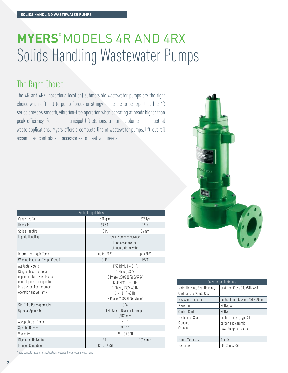# **MYERS®** MODELS 4R AND 4RX Solids Handling Wastewater Pumps

# The Right Choice

The 4R and 4RX (hazardous location) submersible wastewater pumps are the right choice when difficult to pump fibrous or stringy solids are to be expected. The 4R series provides smooth, vibration-free operation when operating at heads higher than peak efficiency. For use in municipal lift stations, treatment plants and industrial waste applications. Myers offers a complete line of wastewater pumps, lift-out rail assemblies, controls and accessories to meet your needs.



| <b>Product Capabilities</b>        |                                 |                           |  |  |  |  |  |
|------------------------------------|---------------------------------|---------------------------|--|--|--|--|--|
| Capacities To                      | 600 gpm                         | $37.8$ Us                 |  |  |  |  |  |
| Heads To                           | $63.5$ ft.                      | 19 <sub>m</sub>           |  |  |  |  |  |
| Solids Handling                    | $3$ in.                         | 76 mm                     |  |  |  |  |  |
| Liquids Handling                   |                                 | raw unscreened sewage,    |  |  |  |  |  |
|                                    |                                 | fibrous wastewater.       |  |  |  |  |  |
|                                    |                                 | effluent, storm water     |  |  |  |  |  |
| Intermittent Liquid Temp.          | up to 140°F                     | up to 60°C                |  |  |  |  |  |
| Winding Insulation Temp. (Class F) | 311 <sup>o</sup> F              | $155^{\circ}$ C           |  |  |  |  |  |
| Available Motors                   |                                 | 1150 RPM, $1 - 3$ HP,     |  |  |  |  |  |
| (Single phase motors are           | 1 Phase, 230V                   |                           |  |  |  |  |  |
| capacitor start type. Myers        | 3 Phase, 208/230/460/575V       |                           |  |  |  |  |  |
| control panels or capacitor        | 1750 RPM, $3 - 5$ HP            |                           |  |  |  |  |  |
| kits are required for proper       | 1 Phase, 230V, 60 Hz            |                           |  |  |  |  |  |
| operation and warranty.)           |                                 | $3 - 10$ HP, 60 Hz        |  |  |  |  |  |
|                                    |                                 | 3 Phase, 208/230/460/575V |  |  |  |  |  |
| Std. Third Party Approvals         |                                 | CSA                       |  |  |  |  |  |
| Optional Approvals                 | FM Class 1, Division 1, Group D |                           |  |  |  |  |  |
|                                    |                                 | (4RX only)                |  |  |  |  |  |
| Acceptable pH Range                |                                 | $6 - 9$                   |  |  |  |  |  |
| Specific Gravity                   |                                 | $.9 - 1.1$                |  |  |  |  |  |
| Viscosity                          | $28 - 35$ SSU                   |                           |  |  |  |  |  |
| Discharge, Horizontal              | $4$ in.                         | 101.6 mm                  |  |  |  |  |  |
| <b>Flanged Centerline</b>          | 125 lb. ANSI                    |                           |  |  |  |  |  |

Construction Materials Motor Housing, Seal Housing, Cord Cap and Volute Case cast iron, Class 30, ASTM A48 Recessed, Impeller ductile Iron, Class 65, ASTM A536 Power Cord SOOW, W Control Cord SOOW Mechanical Seals **Standard Optional** double tandem, type 21 carbon and ceramic lower tungsten, carbide Pump, Motor Shaft 416 SST Fasteners 300 Series SST

Note: Consult factory for applications outside these recommendations.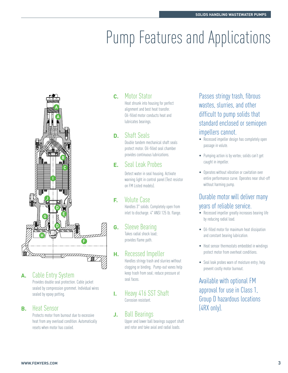# **Pump Features and Applications**



#### **A.** Cable Entry System

Provides double seal protection. Cable jacket sealed by compression grommet. Individual wires sealed by epoxy potting.

#### **B.** Heat Sensor

Protects motor from burnout due to excessive heat from any overload condition. Automatically resets when motor has cooled.

### **C.** Motor Stator

Heat shrunk into housing for perfect alignment and best heat transfer. Oil-filled motor conducts heat and lubricates bearings.

### **D.** Shaft Seals

Double tandem mechanical shaft seals protect motor. Oil-filled seal chamber provides continuous lubrications.

### **E.** Seal Leak Probes

Detect water in seal housing. Activate warning light in control panel (Test resistor on FM Listed models).

### **F.** Volute Case

Handles 3" solids. Completely open from inlet to discharge. 4" ANSI 125 lb. flange.

### **G.** Sleeve Bearing

Takes radial shock load; provides flame path.

#### **H.** Recessed Impeller

Handles stringy trash and slurries without clogging or binding. Pump-out vanes help keep trash from seal; reduce pressure at seal faces.

**I.** Heavy 416 SST Shaft Corrosion resistant.

#### **J.** Ball Bearings

Upper and lower ball bearings support shaft and rotor and take axial and radial loads.

Passes stringy trash, fibrous wastes, slurries, and other difficult to pump solids that standard enclosed or semiopen impellers cannot.

- Recessed impeller design has completely open passage in volute.
- Pumping action is by vortex; solids can't get caught in impeller.
- Operates without vibration or cavitation over entire performance curve. Operates near shut-off without harming pump.

### Durable motor will deliver many years of reliable service.

- Recessed impeller greatly increases bearing life by reducing radial load.
- Oil-filled motor for maximum heat dissipation and constant bearing lubrication.
- Heat sensor thermostats embedded in windings protect motor from overheat conditions.
- Seal leak probes warn of moisture entry; help prevent costly motor burnout.

Available with optional FM approval for use in Class 1, Group D hazardous locations (4RX only).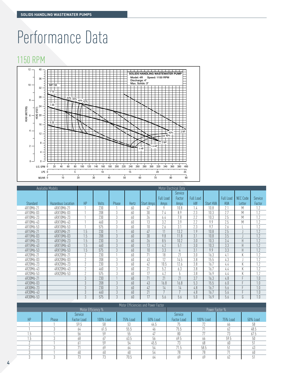# Performance Data

## 1150 RPM



| <b>IEAD (METERS</b><br>$-\sqrt{\frac{1}{2}}$ 20 -<br>16<br>$4 -$<br>$12 -$<br>8<br>$2 -$<br>$\Omega$<br>$0 -$<br>U.S. GPM | $-6.00$<br>$4 -$<br>20<br>40<br>0<br>$LPS$ 0<br>M3/HR 0<br>10 | 60<br>80<br>100<br>120<br>5<br>20 | 140<br>160<br>10<br>30 <sup>2</sup> | 180<br>200<br>220<br>40 | 240<br>15<br>50<br>60 | .5 HP<br>1 HP<br>260 280<br>300<br>70 | 40%<br>$2$ HP<br>320<br>340<br>20 | 3 HP<br>42%<br>360<br>380<br>400<br>Π<br>25<br>80<br>90 |                        |                 |                                |                 |                       |
|---------------------------------------------------------------------------------------------------------------------------|---------------------------------------------------------------|-----------------------------------|-------------------------------------|-------------------------|-----------------------|---------------------------------------|-----------------------------------|---------------------------------------------------------|------------------------|-----------------|--------------------------------|-----------------|-----------------------|
|                                                                                                                           | Available Models                                              |                                   |                                     |                         |                       |                                       |                                   | Motor Electrical Data                                   |                        |                 |                                |                 |                       |
|                                                                                                                           |                                                               |                                   |                                     |                         |                       |                                       |                                   | Service                                                 |                        |                 |                                |                 |                       |
|                                                                                                                           | <b>Hazardous Location</b>                                     | HP                                |                                     |                         |                       |                                       | <b>Full Load</b>                  | Factor                                                  | <b>Full Load</b><br>kW | Start KVA       | <b>Full Load</b><br><b>KVA</b> | <b>NEC Code</b> | Service               |
| Standard<br>4R10M6-21                                                                                                     | 4RX10M6-21                                                    |                                   | Volts<br>230                        | Phase                   | Hertz<br>60           | <b>Start Amps</b><br>47               | Amps<br>9                         | Amps<br>10.8                                            | 1.4                    | 10.8            | 2.1                            | Letter<br>M     | Factor<br>1.2         |
| 4R10M6-03                                                                                                                 | 4RX10M6-03                                                    |                                   | 208                                 | 3                       | 60                    | $\overline{30}$                       | 7.4                               | 8.9                                                     | 2.3                    | 10.3            | 2.7                            | M               | 1.2                   |
| 4R10M6-23                                                                                                                 | 4RX10M6-23                                                    |                                   | 230                                 | 3                       | 60                    | 26                                    | 6.4                               | 7.8                                                     | $\overline{2.2}$       | 10.3            | 2.5                            | M               | 1.2                   |
| 4R10M6-43                                                                                                                 | 4RX10M6-43                                                    |                                   | 460                                 | 3                       | 60                    | 13                                    | $\overline{3.2}$                  | 3.9                                                     | 2.2                    | 9.9             | 2.5                            | M               | 1.2                   |
| 4R10M6-53                                                                                                                 | 4RX10M6-53                                                    |                                   | 575                                 | 3                       | 60                    | 10                                    | 2.6                               | $\overline{3.1}$                                        | 2.3                    | 9.7             | 2.6                            |                 | 1.7                   |
| 4R15M6-21                                                                                                                 | 4RX15M6-21                                                    | 1.5                               | 230                                 |                         | 60                    | $\overline{47}$                       | 11                                | 13.2                                                    | 1.9                    | 10.8            | 2.5                            |                 | 1.2                   |
| 4R15M6-03                                                                                                                 | 4RX15M6-03                                                    | 1.5                               | 208                                 | $3\,$                   | 60                    | $\overline{30}$                       | 9.8                               | 11.8                                                    | 3.1                    | 10.8            | 3.5                            |                 | 1.2                   |
| 4R15M6-23                                                                                                                 | 4RX15M6-23                                                    | 1.5                               | 230                                 | 3                       | 60                    | 26                                    | 8.5                               | 10.2                                                    | 3.0                    | 10.3            | 3.4                            | $\mathsf{H}$    | 1.2                   |
| 4R15M6-43                                                                                                                 | 4RX15M6-43                                                    | 1.5                               | 460                                 | $\sqrt{3}$              | 60                    | $\overline{13}$                       | 4.2                               | 5.1                                                     | $\overline{3.0}$       | 10.3            | $\overline{3.3}$               | $\overline{H}$  | $\overline{1.2}$      |
| 4R15M6-53                                                                                                                 | 4RX15M6-53                                                    | 1.5                               | 575                                 | $\sqrt{3}$              | 60                    | 10                                    | 3.3                               | 4                                                       | 3.1                    | 9.9             | 3.3                            | $\mathsf{H}$    | 1.2                   |
| 4R20M6-21                                                                                                                 | 4RX20M6-21                                                    | $\gamma$                          | 230                                 |                         | 60                    | 71                                    | 18                                | 21                                                      | 3.0                    | 16.3            | 4.1                            | K               | 1.2                   |
| 4R20M6-03                                                                                                                 | 4RX20M6-03                                                    | $\sqrt{2}$                        | 208                                 | 3                       | 60                    | 43                                    | 12                                | 14.5                                                    | 3.8                    | 15.5            | 4.3                            |                 | 1.2                   |
| 4R20M6-23                                                                                                                 | 4RX20M6-23                                                    | $\sqrt{2}$                        | 230                                 | 3                       | 60                    | $\overline{42}$                       | 10.5                              | 12.6                                                    | 3.8                    | 16.7            | 4.4                            | K               | 1.2                   |
| 4R20M6-43                                                                                                                 | 4RX20M6-43                                                    | $\gamma$                          | 460                                 | 3                       | 60                    | 21                                    | 5.2                               | 6.3                                                     | 3.8                    | 16.7            | 4.4                            | K               | 1.2                   |
| 4R20M6-53                                                                                                                 | 4RX20M6-53                                                    | 2                                 | 575                                 | 3                       | 60                    | 17                                    | 4.2                               | 5                                                       | 3.8                    | 16.9            | 4.4                            | K               | $\overline{1.2}$      |
| 4R30M6-21                                                                                                                 |                                                               | 3                                 | 230                                 |                         | 60                    | 71                                    | 21                                | 21                                                      | 3.7                    | 16.3            | 4.8                            |                 | $\overline{1.0}$      |
| 4R30M6-03                                                                                                                 |                                                               | 3                                 | 208                                 | 3                       | 60                    | 43                                    | 16.8                              | 16.8                                                    | 5.3                    | 15.5            | 6.0                            |                 | 1.0                   |
| 4R30M6-23                                                                                                                 |                                                               | $\sqrt{3}$                        | 230                                 | $\mathfrak{Z}$          | 60                    | 42                                    | 14                                | 14                                                      | 4.8                    | 16.7            | 5.6                            |                 | $\overline{1.0}$      |
| 4R30M6-43                                                                                                                 |                                                               | 3                                 | 460                                 | 3                       | 60                    | 21                                    | 7                                 | 7                                                       | 4.8                    | 16.7            | 5.6                            |                 | 1.0                   |
| 4R30M6-53                                                                                                                 |                                                               | $\overline{3}$                    | 575                                 | $\overline{3}$          | 60                    | 17                                    | 5.6                               | 5.6                                                     | 5.0                    | 16.9            | 5.6                            | G               | $\overline{1.0}$      |
|                                                                                                                           |                                                               |                                   |                                     |                         |                       |                                       |                                   |                                                         |                        |                 |                                |                 |                       |
|                                                                                                                           |                                                               |                                   | Motor Efficiency %                  |                         |                       | Motor Efficiencies and Power Factor   |                                   |                                                         |                        |                 |                                |                 |                       |
|                                                                                                                           |                                                               | Service                           |                                     |                         |                       |                                       |                                   | Service                                                 |                        | Power Factor %  |                                |                 |                       |
|                                                                                                                           | Phase                                                         | Factor Load                       |                                     |                         | 75% Load              | 50% Load                              |                                   | Factor Load                                             |                        |                 |                                |                 |                       |
| HP                                                                                                                        |                                                               | 59.5                              | 100% Load<br>58                     |                         | 53                    | 44.5                                  |                                   | 75                                                      |                        | 100% Load<br>72 | <b>75% Load</b>                |                 | <b>50% Load</b><br>58 |
|                                                                                                                           | 3                                                             | 64                                | 61.5                                |                         | 55.5                  | 46                                    |                                   | 75.5                                                    |                        | 71              | 66<br>62                       |                 | 48.5                  |
| 1.5                                                                                                                       |                                                               | 56                                | 59                                  |                         | 55                    | 47                                    |                                   | $80\,$                                                  |                        | $\overline{77}$ | 73                             |                 | 67.5                  |
| 1.5                                                                                                                       | 3                                                             | $68$                              | 67                                  |                         | 63.5                  | 56                                    |                                   | 69.5                                                    |                        | 66              | 59.5                           |                 | 50                    |
| $\sqrt{2}$                                                                                                                |                                                               | 61                                | 59                                  |                         | 54                    | 45.5                                  |                                   | 73                                                      |                        | 68              | 60                             |                 | $51\,$                |
| $\gamma$                                                                                                                  | $\sqrt{3}$                                                    | $\overline{71}$                   | 69                                  |                         | 64                    | 54                                    |                                   | 71.5                                                    |                        | 58.5            | 51                             |                 | $\overline{43}$       |
| $\sqrt{3}$                                                                                                                |                                                               | 60                                | 60                                  |                         | 60                    | 54                                    |                                   | 78                                                      |                        | 78              | 71                             |                 | 60                    |
| $\overline{3}$                                                                                                            | $\overline{3}$                                                | 73                                | 73                                  |                         | 70.5                  | 64                                    |                                   | 69                                                      |                        | 69              | 62                             |                 | 51                    |
|                                                                                                                           |                                                               |                                   |                                     |                         |                       |                                       |                                   |                                                         |                        |                 |                                |                 |                       |

| Motor Efficiencies and Power Factor |       |                    |           |          |                |                    |           |          |          |  |  |
|-------------------------------------|-------|--------------------|-----------|----------|----------------|--------------------|-----------|----------|----------|--|--|
|                                     |       | Motor Efficiency % |           |          | Power Factor % |                    |           |          |          |  |  |
|                                     |       | Service            |           |          |                | Service            |           |          |          |  |  |
| HP                                  | Phase | Factor Load        | 100% Load | 75% Load | 50% Load       | <b>Factor Load</b> | 100% Load | 75% Load | 50% Load |  |  |
|                                     |       | 59.5               | 58        |          | 44.5           |                    |           | 66       | 58       |  |  |
|                                     |       | 64                 | 61.5      | 55.5     | 46             | 75.5               | 71        | 62       | 48.5     |  |  |
| I.J                                 |       | 56                 | 59        | 55       | 47             | 80                 | 77        | 73       | 67.5     |  |  |
|                                     |       | 68                 | 57        | 63.5     | 56             | 69.5               | 66        | 59.5     | 50       |  |  |
|                                     |       | 61                 | 59        | 54       | 45.5           | 73                 | 68        | 60       |          |  |  |
|                                     |       | 71                 | 69        | 64       | 54             | 71.5               | 58.5      | 51       | 43       |  |  |
|                                     |       | 60                 | 60        | 60       | 54             | 78                 | 78        | 71       | 60       |  |  |
|                                     |       | 70<br>/ J          | 73        | 70.5     | 04             | 69                 | 69        | 62       |          |  |  |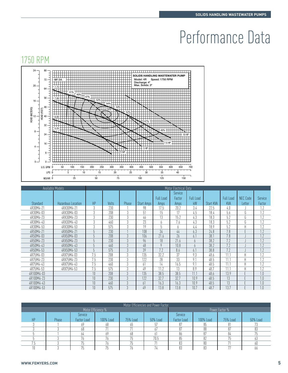# Performance Data

# 1750 RPM



| HEAD (METERS)<br>32<br>8<br>24<br>16<br>$\Omega$<br>U.S. GPM | 6.00<br>8<br>$\mathbf{0}$<br>50<br>$LPS$ 0<br>$\overline{5}$<br>M3/HR 0 | 200<br>100<br>150<br>10<br>25 | 250<br>15<br>50                    | 300<br>20<br>75  | $-3HP$<br>350<br>400<br>25       | 450<br>500<br>30<br>100             | 40%<br>550<br>35<br>125 | 600<br>650<br>40<br>150 | 700              |                 |                       |                         |                         |
|--------------------------------------------------------------|-------------------------------------------------------------------------|-------------------------------|------------------------------------|------------------|----------------------------------|-------------------------------------|-------------------------|-------------------------|------------------|-----------------|-----------------------|-------------------------|-------------------------|
|                                                              | Available Models                                                        |                               |                                    |                  |                                  |                                     |                         | Motor Electrical Data   |                  |                 |                       |                         |                         |
|                                                              |                                                                         |                               |                                    |                  |                                  |                                     |                         | Service                 |                  |                 |                       |                         |                         |
|                                                              |                                                                         |                               |                                    |                  |                                  |                                     | <b>Full Load</b>        | Factor                  | <b>Full Load</b> |                 | <b>Full Load</b>      | NEC Code                | <b>Service</b>          |
| Standard                                                     | <b>Hazardous Location</b>                                               |                               | HP                                 | Volts            | Phase                            | Start Amps                          | Amps                    | Amps                    | kW               | Start KVA       | <b>KVA</b>            | Letter                  | Factor                  |
| 4R30M4-21                                                    | 4RX30M4-21                                                              |                               | 3                                  | 230              |                                  | 98                                  | 17.5                    | 20.2                    | 3.4              | 22.5            | 4.0                   |                         | 1.2                     |
| 4R30M4-03                                                    | 4RX30M4-03                                                              |                               | $\overline{3}$                     | 208              | $\overline{3}$                   | $\overline{51}$                     | 15                      | 17                      | 4.5              | 18.4            | 5.6                   | G                       | $\overline{1.2}$        |
| 4R30M4-23                                                    | 4RX30M4-23                                                              |                               | $\overline{3}$                     | 230              | $3\,$                            | 46                                  | $\overline{13}$         | 15.2                    | 4.3              | 18.3            | 5.2                   | G                       | 1.2                     |
| 4R30M4-43                                                    | 4RX30M4-43                                                              |                               | $\overline{3}$                     | 460              | $\overline{3}$                   | 23                                  | 6                       | 7.6                     | 4.3              | 18.3            | 5.2                   | G                       | 1.2                     |
| 4R30M4-53                                                    | 4RX30M4-53                                                              |                               | $\mathfrak{Z}$                     | $\overline{575}$ | 3                                | $\overline{19}$                     | 5                       | 6                       | 4.4              | 18.9            | $\overline{5.2}$      | H                       | 1.7                     |
| 4R50M4-21                                                    | 4RX50M4-21                                                              |                               | $5\,$                              | 230              | 1                                | 108                                 | $\overline{34}$         | $44$                    | 6.3              | 24.8            | 7.8                   | F                       | 1.2                     |
| 4R50M4-03                                                    | 4RX50M4-03                                                              |                               | 5                                  | 208              | $\overline{3}$                   | 106                                 | 21.6                    | $\overline{26}$         | 6.1              | 38.1            | 7.8                   |                         | $\overline{1.2}$        |
| 4R50M4-23                                                    | 4RX50M4-23                                                              |                               | 5                                  | 230              | 3                                | 96                                  | 18                      | 21.6                    | 6                | 38.2            | 7.2                   |                         | 1.2                     |
| 4R50M4-43                                                    | 4RX50M4-43                                                              |                               | 5                                  | 460              | $\overline{3}$                   | 48                                  | 9                       | 10.8                    | $\boldsymbol{6}$ | 38.2            | 7.2                   |                         | 1.2                     |
| 4R50M4-53                                                    | 4RX50M4-53                                                              |                               | 5                                  | 575              | 3                                | $\overline{39}$                     | 7.2                     | 8.6                     | 6.1              | 38.8            | $\overline{7.2}$      |                         | 1.7                     |
| 4R75M4-03                                                    | 4RX75M4-03                                                              |                               | 7.5                                | 208              | $\overline{3}$                   | 135                                 | 32.2                    | $\overline{37}$         | 9.3              | 48.6            | 11.1                  | H                       | 1.2                     |
| 4R75M4-23                                                    | 4RX75M4-23                                                              |                               | 7.5                                | 230              | $\overline{3}$                   | 122                                 | $\overline{28}$         | 33                      | 9.1              | 48.5            | 11.1                  | $\overline{\mathsf{H}}$ | 1.2                     |
| 4R75M4-43                                                    | 4RX75M4-43                                                              |                               | 7.5                                | 460              | 3                                | 61                                  | 14                      | 16.5                    | $\overline{9.1}$ | 48.5            | 11.1                  | H                       | 1.7                     |
| 4R75M4-53                                                    | 4RX75M4-53                                                              |                               | 7.5                                | 575              | $\overline{3}$                   | 49                                  | 11.2                    | 13                      | 8.9              | 48.7            | 11.1                  | H                       | 1.7                     |
| 4R100M4-03                                                   |                                                                         |                               | $\overline{10}$                    | $\overline{208}$ | $\mathfrak{Z}$                   | 135                                 | 38.5                    | 38.5                    | 11.1             | 48.6            | 13.9                  | F                       | 1.0                     |
| 4R100M4-23<br>4R100M4-43                                     |                                                                         |                               | $\overline{10}$<br>$\overline{10}$ | 230<br>460       | $\overline{3}$<br>$\overline{3}$ | $\overline{122}$                    | 32.7<br>16.3            | 32.7<br>16.3            | 10.9<br>10.9     | 48.5<br>48.5    | 13<br>$\overline{13}$ | E<br>F                  | 1.0<br>$\overline{1.0}$ |
| 4R100M4-53                                                   |                                                                         |                               | 10                                 | 575              | $\mathfrak{Z}$                   | 61<br>49                            | 13.8                    | 13.8                    | 10.7             | 48.7            | 13.7                  |                         | 1 <sub>0</sub>          |
|                                                              |                                                                         |                               |                                    |                  |                                  |                                     |                         |                         |                  |                 |                       |                         |                         |
|                                                              |                                                                         |                               |                                    |                  |                                  |                                     |                         |                         |                  |                 |                       |                         |                         |
|                                                              |                                                                         |                               |                                    |                  |                                  | Motor Efficiencies and Power Factor |                         |                         |                  |                 |                       |                         |                         |
|                                                              |                                                                         |                               | Motor Efficiency %                 |                  |                                  |                                     |                         |                         |                  | Power Factor %  |                       |                         |                         |
|                                                              |                                                                         | Service                       |                                    |                  |                                  |                                     |                         | Service                 |                  |                 |                       |                         |                         |
| HP                                                           | Phase                                                                   | <b>Factor Load</b>            |                                    | 100% Load        | 75% Load                         |                                     | 50% Load                | Factor Load             |                  | 100% Load       | 75% Load              |                         | <b>50% Load</b>         |
| 3                                                            |                                                                         | 69                            | 68                                 |                  | 65                               |                                     | 57                      | 87                      |                  | 85              | 81                    |                         | 73                      |
| 3                                                            | $\overline{3}$                                                          | 68                            | 71                                 |                  | 71                               |                                     | 67                      | 87                      |                  | 88              | 87                    |                         | 83                      |
| 5                                                            |                                                                         | 64                            | 69                                 |                  | 68                               |                                     | 61                      | 86                      |                  | 87              | 84                    |                         | 75                      |
| 5                                                            | 3                                                                       | 76                            | 76                                 |                  | 75                               |                                     | 70.5                    | $\overline{85}$         |                  | $\overline{82}$ | 75                    |                         | 63                      |
| 7.5                                                          | 3                                                                       | 75                            | 76                                 |                  | 75                               |                                     | 71                      | 83                      |                  | 80              | 71                    |                         | 60                      |
| $\overline{10}$                                              | 3                                                                       | $\overline{75}$               | $\overline{75}$                    |                  | 76                               |                                     | 74                      | $\overline{83}$         |                  | $\overline{83}$ | $\overline{77}$       |                         | 66                      |

| Motor Efficiencies and Power Factor |       |             |           |          |          |             |                |          |          |  |  |  |
|-------------------------------------|-------|-------------|-----------|----------|----------|-------------|----------------|----------|----------|--|--|--|
| Motor Efficiency %                  |       |             |           |          |          |             | Power Factor % |          |          |  |  |  |
|                                     |       | Service     |           |          |          | Service     |                |          |          |  |  |  |
| HP                                  | Phase | Factor Load | 100% Load | 75% Load | 50% Load | Factor Load | 100% Load      | 75% Load | 50% Load |  |  |  |
|                                     |       | 69          |           | 00       |          |             | CÖ             |          |          |  |  |  |
|                                     |       | 68          |           |          | 67       | 87          | 88             | 87       | 83       |  |  |  |
|                                     |       | 64          | 69        | nn       |          | 86          |                | 84       |          |  |  |  |
|                                     |       | 76          | 71        |          | 70.5     | 85          | ∩∩             | 75       | Ođ       |  |  |  |
|                                     |       | 75          | 76        |          | 71       | 83          | 80             | 71       | 60       |  |  |  |
|                                     |       | 75          |           |          |          |             |                | 77       | hh       |  |  |  |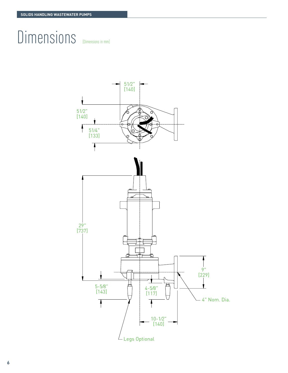# Dimensions [Dimensions in mm]



**6**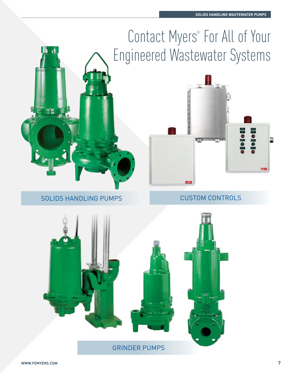# Contact Myers<sup>®</sup> For All of Your Engineered Wastewater Systems



SOLIDS HANDLING PUMPS



CUSTOM CONTROLS